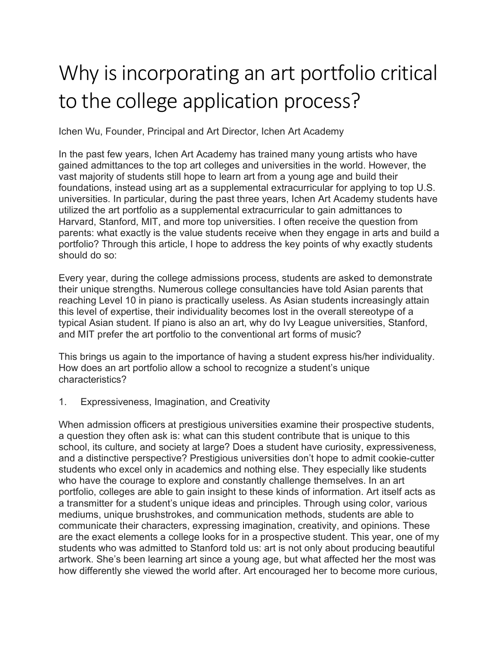## Why is incorporating an art portfolio critical to the college application process?

Ichen Wu, Founder, Principal and Art Director, Ichen Art Academy

In the past few years, Ichen Art Academy has trained many young artists who have gained admittances to the top art colleges and universities in the world. However, the vast majority of students still hope to learn art from a young age and build their foundations, instead using art as a supplemental extracurricular for applying to top U.S. universities. In particular, during the past three years, Ichen Art Academy students have utilized the art portfolio as a supplemental extracurricular to gain admittances to Harvard, Stanford, MIT, and more top universities. I often receive the question from parents: what exactly is the value students receive when they engage in arts and build a portfolio? Through this article, I hope to address the key points of why exactly students should do so:

Every year, during the college admissions process, students are asked to demonstrate their unique strengths. Numerous college consultancies have told Asian parents that reaching Level 10 in piano is practically useless. As Asian students increasingly attain this level of expertise, their individuality becomes lost in the overall stereotype of a typical Asian student. If piano is also an art, why do Ivy League universities, Stanford, and MIT prefer the art portfolio to the conventional art forms of music?

This brings us again to the importance of having a student express his/her individuality. How does an art portfolio allow a school to recognize a student's unique characteristics?

1. Expressiveness, Imagination, and Creativity

When admission officers at prestigious universities examine their prospective students, a question they often ask is: what can this student contribute that is unique to this school, its culture, and society at large? Does a student have curiosity, expressiveness, and a distinctive perspective? Prestigious universities don't hope to admit cookie-cutter students who excel only in academics and nothing else. They especially like students who have the courage to explore and constantly challenge themselves. In an art portfolio, colleges are able to gain insight to these kinds of information. Art itself acts as a transmitter for a student's unique ideas and principles. Through using color, various mediums, unique brushstrokes, and communication methods, students are able to communicate their characters, expressing imagination, creativity, and opinions. These are the exact elements a college looks for in a prospective student. This year, one of my students who was admitted to Stanford told us: art is not only about producing beautiful artwork. She's been learning art since a young age, but what affected her the most was how differently she viewed the world after. Art encouraged her to become more curious,